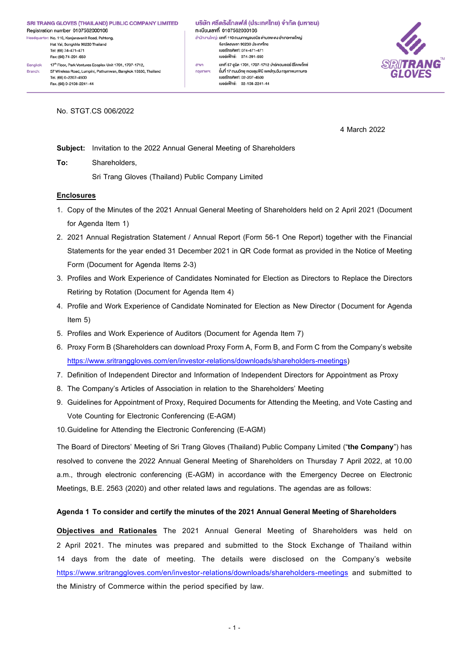Hat Yai, Songkhla 90230 Thailand Tel: (66) 74-471-471 Fax: (66) 74-291-650 17th Floor, Park Ventures Ecoplex Unit 1701, 1707-1712, Bangkok Branch: 57 Wireless Road, Lumpini, Pathumwan, Bangkok 10330, Thailand Tel. (66) 0-2207-4500 Fax. (66) 0-2108-2241-44

บริษัท ศรีตรังโกลฟส์ (ประเทศไทย) จำกัด (มหาชน) ทะเบียนเลงที่ 0107562000106 สำนักงานใหญ่: เลขที่ 110 ถนนกาญจนวนิช ตำบลพะตง อำเภอหาคใหญ่ จังหวัดสงขลา 90230 ประเทศไทย juas Tnspwn: 074-471-471 เบอร์แฟ็กซ์: 074-291-650 เลงที่ 57 ยูนิต 1701, 1707-1712 ปาร์คเวนเชอร์ อีโคเพล็กซ์ anvn ชั้นที่ 17 ถนนวิทยุ แงวงลุมพินี เงฅปทุมวัน กรุงเทพมหานคร nsainw9: iuosl̃nsrīwn: 02-207-4500 เบอร์แฟ็กซ์: 02-108-2241-44



No. STGT.CS 006/2022

4 March 2022

**Subject:** Invitation to the 2022 Annual General Meeting of Shareholders

**To:** Shareholders,

Sri Trang Gloves (Thailand) Public Company Limited

## **Enclosures**

- 1. Copy of the Minutes of the 2021 Annual General Meeting of Shareholders held on 2 April 2021 (Document for Agenda Item 1)
- 2. 2021 Annual Registration Statement / Annual Report (Form 56-1 One Report) together with the Financial Statements for the year ended 31 December 2021 in QR Code format as provided in the Notice of Meeting Form (Document for Agenda Items 2-3)
- 3. Profiles and Work Experience of Candidates Nominated for Election as Directors to Replace the Directors Retiring by Rotation (Document for Agenda Item 4)
- 4. Profile and Work Experience of Candidate Nominated for Election as New Director (Document for Agenda Item 5)
- 5. Profiles and Work Experience of Auditors (Document for Agenda Item 7)
- 6. Proxy Form B (Shareholders can download Proxy Form A, Form B, and Form C from the Company's website [https://www.sritranggloves.com/en/investor-relations/downloads/shareholders-meetings\)](https://www.sritranggloves.com/en/investor-relations/downloads/shareholders-meetings)
- 7. Definition of Independent Director and Information of Independent Directors for Appointment as Proxy
- 8. The Company's Articles of Association in relation to the Shareholders' Meeting
- 9. Guidelines for Appointment of Proxy, Required Documents for Attending the Meeting, and Vote Casting and Vote Counting for Electronic Conferencing (E-AGM)

10.Guideline for Attending the Electronic Conferencing (E-AGM)

The Board of Directors' Meeting of Sri Trang Gloves (Thailand) Public Company Limited ("**the Company**") has resolved to convene the 2022 Annual General Meeting of Shareholders on Thursday 7 April 2022, at 10.00 a.m., through electronic conferencing (E-AGM) in accordance with the Emergency Decree on Electronic Meetings, B.E. 2563 (2020) and other related laws and regulations. The agendas are as follows:

### **Agenda 1 To consider and certify the minutes of the 2021 Annual General Meeting of Shareholders**

**Objectives and Rationales** The 2021 Annual General Meeting of Shareholders was held on 2 April 2021. The minutes was prepared and submitted to the Stock Exchange of Thailand within 14 days from the date of meeting. The details were disclosed on the Company's website <https://www.sritranggloves.com/en/investor-relations/downloads/shareholders-meetings> and submitted to the Ministry of Commerce within the period specified by law.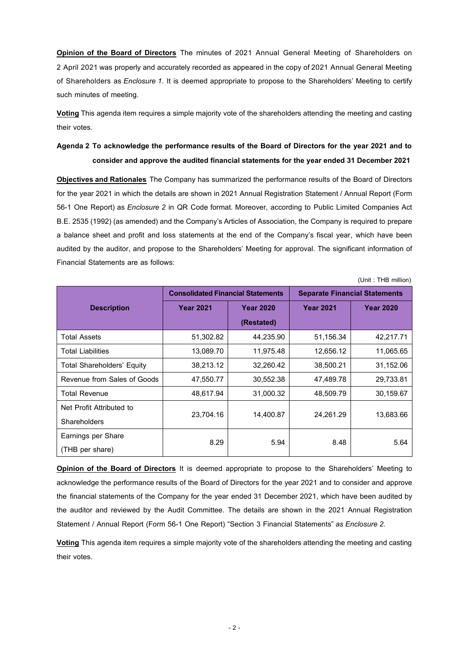**Opinion of the Board of Directors** The minutes of 2021 Annual General Meeting of Shareholders on 2 April 2021 was properly and accurately recorded as appeared in the copy of2021 Annual General Meeting of Shareholders as *Enclosure 1*. It is deemed appropriate to propose to the Shareholders' Meeting to certify such minutes of meeting.

**Voting**This agenda item requires a simple majority vote of the shareholders attending the meeting and casting their votes.

## **Agenda 2 To acknowledge the performance results of the Board of Directors for the year 2021 and to consider and approve the audited financial statements for the year ended 31 December 2021**

**Objectives and Rationales** The Company has summarized the performance results of the Board of Directors for the year 2021 in which the details are shown in 2021 Annual Registration Statement / Annual Report (Form 56-1 One Report) as *Enclosure 2* in QR Code format*.* Moreover, according to Public Limited Companies Act B.E. 2535 (1992) (as amended) and the Company's Articles of Association, the Company is required to prepare a balance sheet and profit and loss statements at the end of the Company's fiscal year, which have been audited by the auditor, and propose to the Shareholders' Meeting for approval. The significant information of Financial Statements are as follows:

(Unit : THB million)

|                                   | <b>Consolidated Financial Statements</b> |                  | <b>Separate Financial Statements</b> |                  |  |
|-----------------------------------|------------------------------------------|------------------|--------------------------------------|------------------|--|
| <b>Description</b>                | <b>Year 2021</b>                         | <b>Year 2020</b> | <b>Year 2021</b>                     | <b>Year 2020</b> |  |
|                                   |                                          | (Restated)       |                                      |                  |  |
| <b>Total Assets</b>               | 51,302.82                                | 44,235.90        | 51,156.34                            | 42,217.71        |  |
| <b>Total Liabilities</b>          | 13,089.70                                | 11,975.48        | 12,656.12                            | 11,065.65        |  |
| <b>Total Shareholders' Equity</b> | 38,213.12                                | 32,260.42        | 38,500.21                            | 31,152.06        |  |
| Revenue from Sales of Goods       | 47,550.77                                | 30,552.38        | 47,489.78                            | 29,733.81        |  |
| <b>Total Revenue</b>              | 48,617.94                                | 31.000.32        | 48,509.79                            | 30,159.67        |  |
| Net Profit Attributed to          |                                          |                  |                                      | 13,683.66        |  |
| Shareholders                      | 23,704.16<br>14,400.87                   |                  | 24,261.29                            |                  |  |
| Earnings per Share                | 8.29                                     | 5.94             | 8.48                                 | 5.64             |  |
| (THB per share)                   |                                          |                  |                                      |                  |  |

**Opinion of the Board of Directors** It is deemed appropriate to propose to the Shareholders' Meeting to acknowledge the performance results of the Board of Directors for the year 2021 and to consider and approve the financial statements of the Company for the year ended 31 December 2021, which have been audited by the auditor and reviewed by the Audit Committee. The details are shown in the 2021 Annual Registration Statement / Annual Report (Form 56-1 One Report) "Section 3 Financial Statements"*as Enclosure 2.*

**Voting**This agenda item requires a simple majority vote of the shareholders attending the meeting and casting their votes.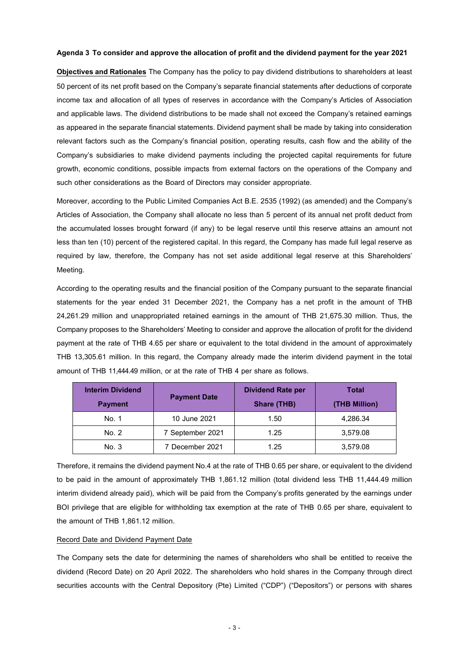#### **Agenda 3 To consider and approve the allocation of profit and the dividend payment for the year 2021**

**Objectives and Rationales** The Company has the policy to pay dividend distributions to shareholders at least 50 percent of its net profit based on the Company's separate financial statements after deductions of corporate income tax and allocation of all types of reserves in accordance with the Company's Articles of Association and applicable laws. The dividend distributions to be made shall not exceed the Company's retained earnings as appeared in the separate financial statements. Dividend payment shall be made by taking into consideration relevant factors such as the Company's financial position, operating results, cash flow and the ability of the Company's subsidiaries to make dividend payments including the projected capital requirements for future growth, economic conditions, possible impacts from external factors on the operations of the Company and such other considerations as the Board of Directors may consider appropriate.

Moreover, according to the Public Limited Companies Act B.E. 2535 (1992) (as amended) and the Company's Articles of Association, the Company shall allocate no less than 5 percent of its annual net profit deduct from the accumulated losses brought forward (if any) to be legal reserve until this reserve attains an amount not less than ten (10) percent of the registered capital. In this regard, the Company has made full legal reserve as required by law, therefore, the Company has not set aside additional legal reserve at this Shareholders' Meeting.

According to the operating results and the financial position of the Company pursuant to the separate financial statements for the year ended 31 December 2021, the Company has a net profit in the amount of THB 24,261.29 million and unappropriated retained earnings in the amount of THB 21,675.30 million. Thus, the Company proposes to the Shareholders' Meeting to consider and approve the allocation of profit for the dividend payment at the rate of THB 4.65 per share or equivalent to the total dividend in the amount of approximately THB 13,305.61 million. In this regard, the Company already made the interim dividend payment in the total amount of THB 11,444.49 million, or at the rate of THB 4 per share as follows.

| <b>Interim Dividend</b><br><b>Payment</b> | <b>Payment Date</b> | <b>Dividend Rate per</b><br><b>Share (THB)</b> | Total<br>(THB Million) |
|-------------------------------------------|---------------------|------------------------------------------------|------------------------|
| No. 1                                     | 10 June 2021        | 1.50                                           | 4,286.34               |
| No. 2                                     | 7 September 2021    | 1.25                                           | 3,579.08               |
| No. 3                                     | 7 December 2021     | 1.25                                           | 3,579.08               |

Therefore, it remains the dividend payment No.4 at the rate of THB 0.65 per share, or equivalent to the dividend to be paid in the amount of approximately THB 1,861.12 million (total dividend less THB 11,444.49 million interim dividend already paid), which will be paid from the Company's profits generated by the earnings under BOI privilege that are eligible for withholding tax exemption at the rate of THB 0.65 per share, equivalent to the amount of THB 1,861.12 million.

#### Record Date and Dividend Payment Date

The Company sets the date for determining the names of shareholders who shall be entitled to receive the dividend (Record Date) on 20 April 2022. The shareholders who hold shares in the Company through direct securities accounts with the Central Depository (Pte) Limited ("CDP") ("Depositors") or persons with shares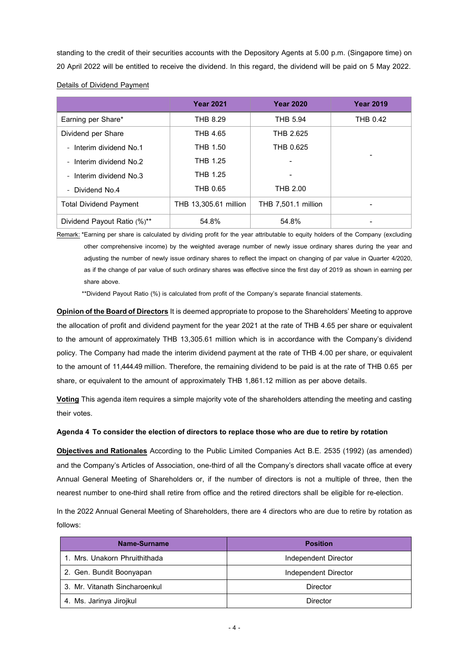standing to the credit of their securities accounts with the Depository Agents at 5.00 p.m. (Singapore time) on 20 April 2022 will be entitled to receive the dividend. In this regard, the dividend will be paid on 5 May 2022.

|                               | <b>Year 2021</b>             | <b>Year 2020</b>           | <b>Year 2019</b> |
|-------------------------------|------------------------------|----------------------------|------------------|
| Earning per Share*            | <b>THB 8.29</b>              | <b>THB 5.94</b>            | <b>THB 0.42</b>  |
| Dividend per Share            | THB 4.65                     | THB 2.625                  |                  |
| - Interim dividend No.1       | THB 1.50                     | THB 0.625                  |                  |
| - Interim dividend No.2       | <b>THB 1.25</b>              |                            |                  |
| - Interim dividend No.3       | <b>THB 1.25</b>              |                            |                  |
| - Dividend No.4               | THB 0.65                     | <b>THB 2.00</b>            |                  |
| <b>Total Dividend Payment</b> | <b>THB 13,305.61 million</b> | <b>THB 7,501.1 million</b> |                  |
| Dividend Payout Ratio (%)**   | 54.8%                        | 54.8%                      |                  |

Details of Dividend Payment

Remark: \*Earning per share is calculated by dividing profit for the year attributable to equity holders of the Company (excluding other comprehensive income) by the weighted average number of newly issue ordinary shares during the year and adjusting the number of newly issue ordinary shares to reflect the impact on changing of par value in Quarter 4/2020, as if the change of par value of such ordinary shares was effective since the first day of 2019 as shown in earning per share above.

\*\*Dividend Payout Ratio (%) is calculated from profit of the Company's separate financial statements.

**Opinion of the Board of Directors**It is deemed appropriate to propose to the Shareholders' Meeting to approve the allocation of profit and dividend payment for the year 2021 at the rate of THB 4.65 per share or equivalent to the amount of approximately THB 13,305.61 million which is in accordance with the Company's dividend policy. The Company had made the interim dividend payment at the rate of THB 4.00 per share, or equivalent to the amount of 11,444.49 million. Therefore, the remaining dividend to be paid is at the rate of THB 0.65 per share, or equivalent to the amount of approximately THB 1,861.12 million as per above details.

**Voting**This agenda item requires a simple majority vote of the shareholders attending the meeting and casting their votes.

## **Agenda 4 To consider the election of directors to replace those who are due to retire by rotation**

**Objectives and Rationales** According to the Public Limited Companies Act B.E. 2535 (1992) (as amended) and the Company's Articles of Association, one-third of all the Company's directors shall vacate office at every Annual General Meeting of Shareholders or, if the number of directors is not a multiple of three, then the nearest number to one-third shall retire from office and the retired directors shall be eligible for re-election.

In the 2022 Annual General Meeting of Shareholders, there are 4 directors who are due to retire by rotation as follows:

| Name-Surname                                          | <b>Position</b>      |  |
|-------------------------------------------------------|----------------------|--|
| 1. Mrs. Unakorn Phruithithada<br>Independent Director |                      |  |
| 2. Gen. Bundit Boonyapan                              | Independent Director |  |
| 3. Mr. Vitanath Sincharoenkul                         | Director             |  |
| 4. Ms. Jarinya Jirojkul                               | Director             |  |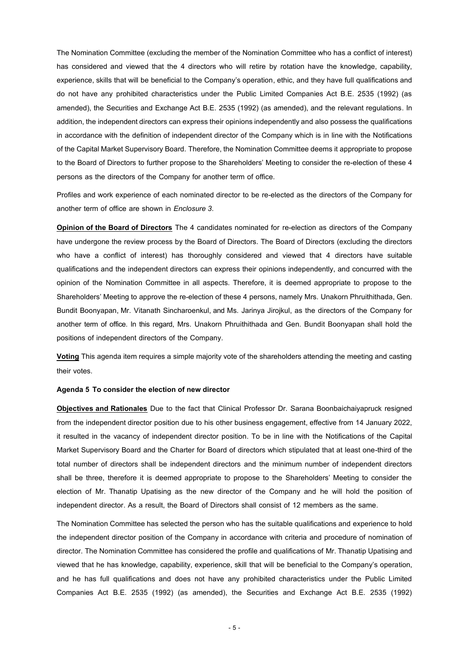The Nomination Committee (excluding the member of the Nomination Committee who has a conflict of interest) has considered and viewed that the 4 directors who will retire by rotation have the knowledge, capability, experience, skills that will be beneficial to the Company's operation, ethic, and they have full qualifications and do not have any prohibited characteristics under the Public Limited Companies Act B.E. 2535 (1992) (as amended), the Securities and Exchange Act B.E. 2535 (1992) (as amended), and the relevant regulations. In addition, the independent directors can express their opinions independently and also possess the qualifications in accordance with the definition of independent director of the Company which is in line with the Notifications of the Capital Market Supervisory Board. Therefore, the Nomination Committee deems it appropriate to propose to the Board of Directors to further propose to the Shareholders' Meeting to consider the re-election of these 4 persons as the directors of the Company for another term of office.

Profiles and work experience of each nominated director to be re-elected as the directors of the Company for another term of office are shown in *Enclosure 3*.

**Opinion of the Board of Directors** The 4 candidates nominated for re-election as directors of the Company have undergone the review process by the Board of Directors. The Board of Directors (excluding the directors who have a conflict of interest) has thoroughly considered and viewed that 4 directors have suitable qualifications and the independent directors can express their opinions independently, and concurred with the opinion of the Nomination Committee in all aspects. Therefore, it is deemed appropriate to propose to the Shareholders' Meeting to approve the re-election of these 4 persons, namely Mrs. Unakorn Phruithithada, Gen. Bundit Boonyapan, Mr. Vitanath Sincharoenkul, and Ms. Jarinya Jirojkul, as the directors of the Company for another term of office. In this regard, Mrs. Unakorn Phruithithada and Gen. Bundit Boonyapan shall hold the positions of independent directors of the Company.

**Voting**This agenda item requires a simple majority vote of the shareholders attending the meeting and casting their votes.

#### **Agenda 5 To consider the election of new director**

**Objectives and Rationales** Due to the fact that Clinical Professor Dr. Sarana Boonbaichaiyapruck resigned from the independent director position due to his other business engagement, effective from 14 January 2022, it resulted in the vacancy of independent director position. To be in line with the Notifications of the Capital Market Supervisory Board and the Charter for Board of directors which stipulated that at least one-third of the total number of directors shall be independent directors and the minimum number of independent directors shall be three, therefore it is deemed appropriate to propose to the Shareholders' Meeting to consider the election of Mr. Thanatip Upatising as the new director of the Company and he will hold the position of independent director. As a result, the Board of Directors shall consist of 12 members as the same.

The Nomination Committee has selected the person who has the suitable qualifications and experience to hold the independent director position of the Company in accordance with criteria and procedure of nomination of director. The Nomination Committee has considered the profile and qualifications of Mr.Thanatip Upatising and viewed that he has knowledge, capability, experience, skill that will be beneficial to the Company's operation, and he has full qualifications and does not have any prohibited characteristics under the Public Limited Companies Act B.E. 2535 (1992) (as amended), the Securities and Exchange Act B.E. 2535 (1992)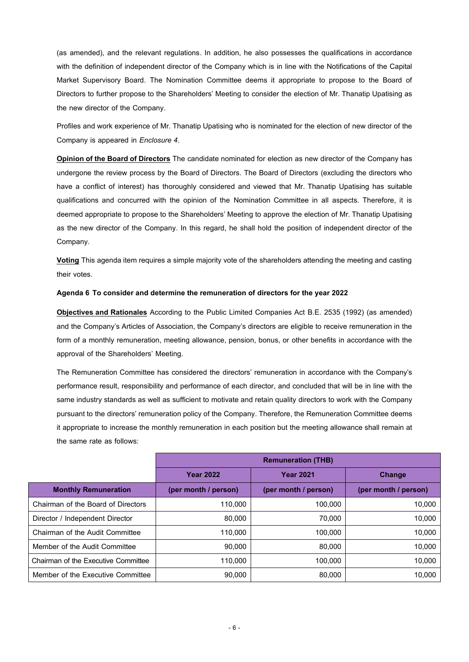(as amended), and the relevant regulations. In addition, he also possesses the qualifications in accordance with the definition of independent director of the Company which is in line with the Notifications of the Capital Market Supervisory Board. The Nomination Committee deems it appropriate to propose to the Board of Directors to further propose to the Shareholders' Meeting to consider the election of Mr.Thanatip Upatising as the new director of the Company.

Profiles and work experience of Mr. Thanatip Upatising who is nominated for the election of new director of the Company is appeared in *Enclosure 4*.

**Opinion of the Board of Directors** The candidate nominated for election as new director of the Company has undergone the review process by the Board of Directors. The Board of Directors (excluding the directors who have a conflict of interest) has thoroughly considered and viewed that Mr. Thanatip Upatising has suitable qualifications and concurred with the opinion of the Nomination Committee in all aspects. Therefore, it is deemed appropriate to propose to the Shareholders' Meeting to approve the election of Mr. Thanatip Upatising as the new director of the Company. In this regard, he shall hold the position of independent director of the Company.

**Voting**This agenda item requires a simple majority vote of the shareholders attending the meeting and casting their votes.

## **Agenda 6 To consider and determine the remuneration of directors for the year 2022**

**Objectives and Rationales** According to the Public Limited Companies Act B.E. 2535 (1992) (as amended) and the Company's Articles of Association, the Company's directors are eligible to receive remuneration in the form of a monthly remuneration, meeting allowance, pension, bonus, or other benefits in accordance with the approval of the Shareholders' Meeting.

The Remuneration Committee has considered the directors' remuneration in accordance with the Company's performance result, responsibility and performance of each director, and concluded that will be in line with the same industry standards as well as sufficient to motivate and retain quality directors to work with the Company pursuant to the directors' remuneration policy of the Company. Therefore, the Remuneration Committee deems it appropriate to increase the monthly remuneration in each position but the meeting allowance shall remain at the same rate as follows:

|                                     | <b>Remuneration (THB)</b> |                      |                      |
|-------------------------------------|---------------------------|----------------------|----------------------|
|                                     | <b>Year 2022</b>          | <b>Year 2021</b>     | <b>Change</b>        |
| <b>Monthly Remuneration</b>         | (per month / person)      | (per month / person) | (per month / person) |
| Chairman of the Board of Directors  | 110,000                   | 100,000              | 10.000               |
| Director / Independent Director     | 80,000                    | 70,000               | 10,000               |
| Chairman of the Audit Committee     | 110,000                   | 100,000              | 10.000               |
| Member of the Audit Committee       | 90,000                    | 80,000               | 10,000               |
| Chairman of the Executive Committee | 110,000                   | 100,000              | 10.000               |
| Member of the Executive Committee   | 90.000                    | 80,000               | 10.000               |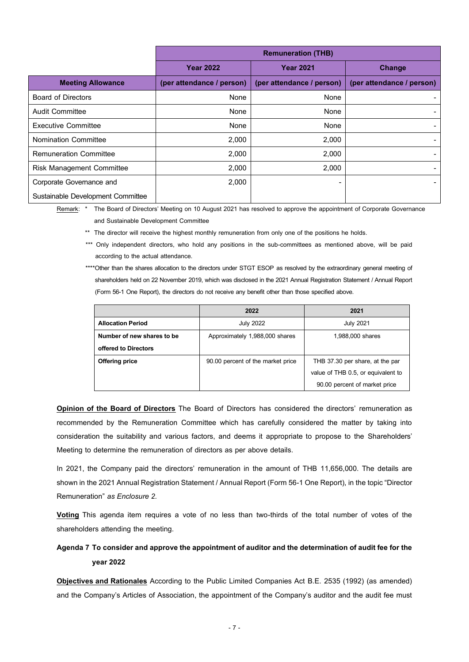|                                   | <b>Remuneration (THB)</b> |                           |                           |
|-----------------------------------|---------------------------|---------------------------|---------------------------|
|                                   | <b>Year 2022</b>          | <b>Year 2021</b>          | Change                    |
| <b>Meeting Allowance</b>          | (per attendance / person) | (per attendance / person) | (per attendance / person) |
| <b>Board of Directors</b>         | None                      | None                      |                           |
| <b>Audit Committee</b>            | None                      | None                      |                           |
| <b>Executive Committee</b>        | None                      | None                      |                           |
| Nomination Committee              | 2,000                     | 2,000                     |                           |
| <b>Remuneration Committee</b>     | 2,000                     | 2,000                     |                           |
| <b>Risk Management Committee</b>  | 2,000                     | 2,000                     |                           |
| Corporate Governance and          | 2,000                     | ۰                         |                           |
| Sustainable Development Committee |                           |                           |                           |

Remark: \* The Board of Directors' Meeting on 10 August 2021 has resolved to approve the appointment of Corporate Governance and Sustainable Development Committee

\*\* The director will receive the highest monthly remuneration from only one of the positions he holds.

\*\*\* Only independent directors, who hold any positions in the sub-committees as mentioned above, will be paid according to the actual attendance.

\*\*\*\*Other than the shares allocation to the directors under STGT ESOP as resolved by the extraordinary general meeting of shareholders held on 22 November 2019, which was disclosed in the 2021 Annual Registration Statement / Annual Report (Form 56-1 One Report), the directors do not receive any benefit other than those specified above.

|                            | 2022                              | 2021                               |  |
|----------------------------|-----------------------------------|------------------------------------|--|
| <b>Allocation Period</b>   | <b>July 2022</b>                  | <b>July 2021</b>                   |  |
| Number of new shares to be | Approximately 1,988,000 shares    | 1,988,000 shares                   |  |
| offered to Directors       |                                   |                                    |  |
| <b>Offering price</b>      | 90.00 percent of the market price | THB 37.30 per share, at the par    |  |
|                            |                                   | value of THB 0.5, or equivalent to |  |
|                            |                                   | 90.00 percent of market price      |  |

**Opinion of the Board of Directors** The Board of Directors has considered the directors' remuneration as recommended by the Remuneration Committee which has carefully considered the matter by taking into consideration the suitability and various factors, and deems it appropriate to propose to the Shareholders' Meeting to determine the remuneration of directors as per above details.

In 2021, the Company paid the directors' remuneration in the amount of THB 11,656,000. The details are shown in the 2021 Annual Registration Statement / Annual Report (Form 56-1 One Report), in the topic "Director Remuneration" *as Enclosure 2.*

**Voting** This agenda item requires a vote of no less than two-thirds of the total number of votes of the shareholders attending the meeting.

# **Agenda 7 To consider and approve the appointment of auditor and the determination of audit fee for the year 2022**

**Objectives and Rationales** According to the Public Limited Companies Act B.E. 2535 (1992) (as amended) and the Company's Articles of Association, the appointment of the Company's auditor and the audit fee must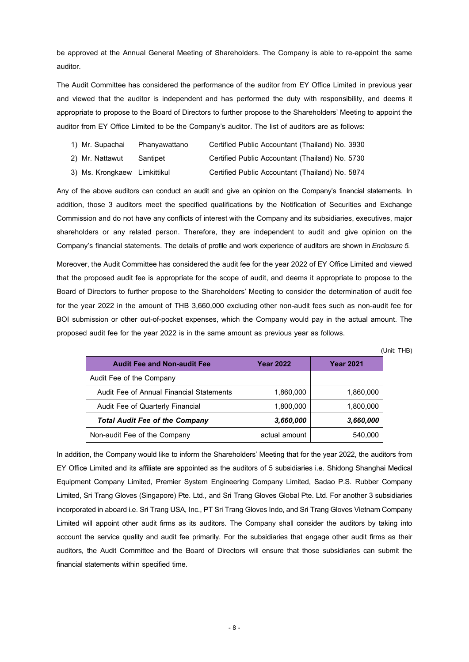be approved at the Annual General Meeting of Shareholders. The Company is able to re-appoint the same auditor.

The Audit Committee has considered the performance of the auditor from EY Office Limited in previous year and viewed that the auditor is independent and has performed the duty with responsibility, and deems it appropriate to propose to the Board of Directors to further propose to the Shareholders' Meeting to appoint the auditor from EY Office Limited to be the Company's auditor. The list of auditors are as follows:

| 1) Mr. Supachai              | Phanyawattano | Certified Public Accountant (Thailand) No. 3930 |  |
|------------------------------|---------------|-------------------------------------------------|--|
| 2) Mr. Nattawut              | Santipet      | Certified Public Accountant (Thailand) No. 5730 |  |
| 3) Ms. Krongkaew Limkittikul |               | Certified Public Accountant (Thailand) No. 5874 |  |

Any of the above auditors can conduct an audit and give an opinion on the Company's financial statements. In addition, those 3 auditors meet the specified qualifications by the Notification of Securities and Exchange Commission and do not have any conflicts of interest with the Company and its subsidiaries, executives, major shareholders or any related person. Therefore, they are independent to audit and give opinion on the Company's financial statements. The details of profile and work experience of auditors are shown in *Enclosure 5.*

Moreover, the Audit Committee has considered the audit fee for the year 2022 of EY Office Limited and viewed that the proposed audit fee is appropriate for the scope of audit, and deems it appropriate to propose to the Board of Directors to further propose to the Shareholders' Meeting to consider the determination of audit fee for the year 2022 in the amount of THB 3,660,000 excluding other non-audit fees such as non-audit fee for BOI submission or other out-of-pocket expenses, which the Company would pay in the actual amount. The proposed audit fee for the year 2022 is in the same amount as previous year as follows.

(Unit: THB)

| <b>Audit Fee and Non-audit Fee</b>       | <b>Year 2022</b> | <b>Year 2021</b> |
|------------------------------------------|------------------|------------------|
| Audit Fee of the Company                 |                  |                  |
| Audit Fee of Annual Financial Statements | 1,860,000        | 1,860,000        |
| Audit Fee of Quarterly Financial         | 1,800,000        | 1,800,000        |
| <b>Total Audit Fee of the Company</b>    | 3,660,000        | 3,660,000        |
| Non-audit Fee of the Company             | actual amount    | 540,000          |

In addition, the Company would like to inform the Shareholders' Meeting that for the year 2022, the auditors from EY Office Limited and its affiliate are appointed as the auditors of 5 subsidiaries i.e. Shidong Shanghai Medical Equipment Company Limited, Premier System Engineering Company Limited, Sadao P.S. Rubber Company Limited, Sri Trang Gloves (Singapore) Pte. Ltd., and Sri Trang Gloves Global Pte. Ltd. For another 3 subsidiaries incorporated in aboard i.e. Sri Trang USA, Inc., PT Sri Trang Gloves Indo, and Sri Trang Gloves Vietnam Company Limited will appoint other audit firms as its auditors. The Company shall consider the auditors by taking into account the service quality and audit fee primarily. For the subsidiaries that engage other audit firms as their auditors, the Audit Committee and the Board of Directors will ensure that those subsidiaries can submit the financial statements within specified time.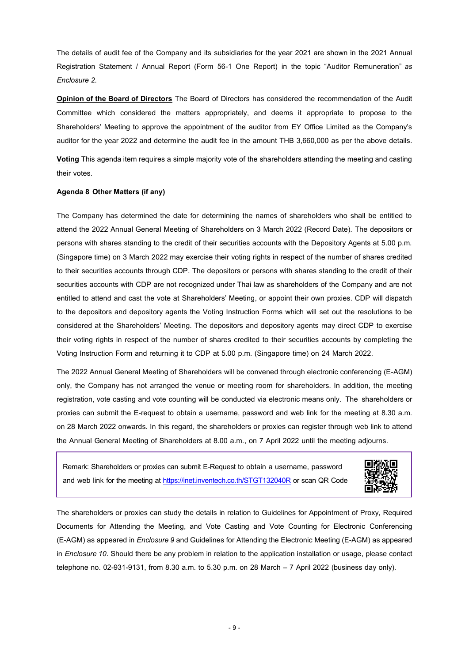The details of audit fee of the Company and its subsidiaries for the year 2021 are shown in the 2021 Annual Registration Statement / Annual Report (Form 56-1 One Report) in the topic "Auditor Remuneration" *as Enclosure 2.*

**Opinion of the Board of Directors** The Board of Directors has considered the recommendation of the Audit Committee which considered the matters appropriately, and deems it appropriate to propose to the Shareholders' Meeting to approve the appointment of the auditor from EY Office Limited as the Company's auditor for the year 2022 and determine the audit fee in the amount THB 3,660,000 as per the above details.

**Voting**This agenda item requires a simple majority vote of the shareholders attending the meeting and casting their votes.

### **Agenda 8 Other Matters (if any)**

The Company has determined the date for determining the names of shareholders who shall be entitled to attend the 2022 Annual General Meeting of Shareholders on 3 March 2022 (Record Date). The depositors or persons with shares standing to the credit of their securities accounts with the Depository Agents at 5.00 p.m. (Singapore time) on 3 March 2022 may exercise their voting rights in respect of the number of shares credited to their securities accounts through CDP. The depositors or persons with shares standing to the credit of their securities accounts with CDP are not recognized under Thai law as shareholders of the Company and are not entitled to attend and cast the vote at Shareholders' Meeting, or appoint their own proxies. CDP will dispatch to the depositors and depository agents the Voting Instruction Forms which will set out the resolutions to be considered at the Shareholders' Meeting. The depositors and depository agents may direct CDP to exercise their voting rights in respect of the number of shares credited to their securities accounts by completing the Voting Instruction Form and returning it to CDP at 5.00 p.m. (Singapore time) on 24 March 2022.

The 2022 Annual General Meeting of Shareholders will be convened through electronic conferencing (E-AGM) only, the Company has not arranged the venue or meeting room for shareholders. In addition, the meeting registration, vote casting and vote counting will be conducted via electronic means only. The shareholders or proxies can submit the E-request to obtain a username, password and web link for the meeting at 8.30 a.m. on 28 March 2022 onwards. In this regard, the shareholders or proxies can register through web link to attend the Annual General Meeting of Shareholders at 8.00 a.m., on 7 April 2022 until the meeting adjourns.

Remark: Shareholders or proxies can submit E-Request to obtain a username, password and web link for the meeting at<https://inet.inventech.co.th/STGT132040R> or scan QR Code



The shareholders or proxies can study the details in relation to Guidelines for Appointment of Proxy, Required Documents for Attending the Meeting, and Vote Casting and Vote Counting for Electronic Conferencing (E-AGM) as appeared in *Enclosure 9* and Guidelines for Attending the Electronic Meeting (E-AGM) as appeared in *Enclosure 10*. Should there be any problem in relation to the application installation or usage, please contact telephone no. 02-931-9131, from 8.30 a.m. to 5.30 p.m. on 28 March – 7 April 2022 (business day only).